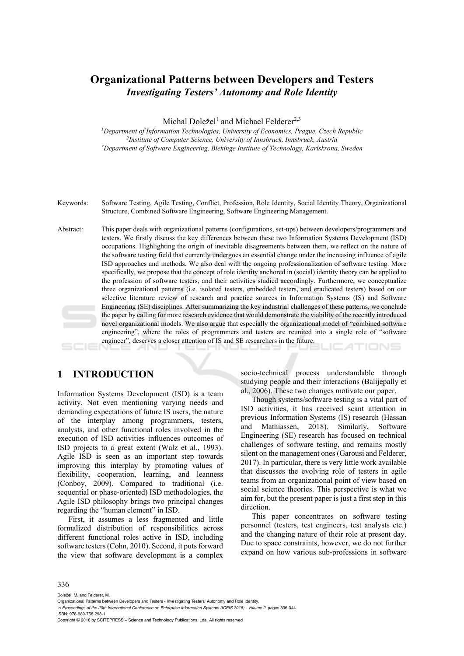# **Organizational Patterns between Developers and Testers**  *Investigating Testers' Autonomy and Role Identity*

Michal Doležel<sup>1</sup> and Michael Felderer<sup>2,3</sup>

<sup>1</sup>Department of Information Technologies, University of Economics, Prague, Czech Republic<br><sup>2</sup>Institute of Computer Science, University of Innsbruck, Innsbruck, Austria<sup>3</sup>Department of Software Engineering, Blekinge Instit

- Keywords: Software Testing, Agile Testing, Conflict, Profession, Role Identity, Social Identity Theory, Organizational Structure, Combined Software Engineering, Software Engineering Management.
- Abstract: This paper deals with organizational patterns (configurations, set-ups) between developers/programmers and testers. We firstly discuss the key differences between these two Information Systems Development (ISD) occupations. Highlighting the origin of inevitable disagreements between them, we reflect on the nature of the software testing field that currently undergoes an essential change under the increasing influence of agile ISD approaches and methods. We also deal with the ongoing professionalization of software testing. More specifically, we propose that the concept of role identity anchored in (social) identity theory can be applied to the profession of software testers, and their activities studied accordingly. Furthermore, we conceptualize three organizational patterns (i.e. isolated testers, embedded testers, and eradicated testers) based on our selective literature review of research and practice sources in Information Systems (IS) and Software Engineering (SE) disciplines. After summarizing the key industrial challenges of these patterns, we conclude the paper by calling for more research evidence that would demonstrate the viability of the recently introduced novel organizational models. We also argue that especially the organizational model of "combined software engineering", where the roles of programmers and testers are reunited into a single role of "software engineer", deserves a closer attention of IS and SE researchers in the future.

# **1 INTRODUCTION**

Information Systems Development (ISD) is a team activity. Not even mentioning varying needs and demanding expectations of future IS users, the nature of the interplay among programmers, testers, analysts, and other functional roles involved in the execution of ISD activities influences outcomes of ISD projects to a great extent (Walz et al., 1993). Agile ISD is seen as an important step towards improving this interplay by promoting values of flexibility, cooperation, learning, and leanness (Conboy, 2009). Compared to traditional (i.e. sequential or phase-oriented) ISD methodologies, the Agile ISD philosophy brings two principal changes regarding the "human element" in ISD.

First, it assumes a less fragmented and little formalized distribution of responsibilities across different functional roles active in ISD, including software testers (Cohn, 2010). Second, it puts forward the view that software development is a complex

socio-technical process understandable through studying people and their interactions (Balijepally et al., 2006). These two changes motivate our paper.

Though systems/software testing is a vital part of ISD activities, it has received scant attention in previous Information Systems (IS) research (Hassan and Mathiassen, 2018). Similarly, Software Engineering (SE) research has focused on technical challenges of software testing, and remains mostly silent on the management ones (Garousi and Felderer, 2017). In particular, there is very little work available that discusses the evolving role of testers in agile teams from an organizational point of view based on social science theories. This perspective is what we aim for, but the present paper is just a first step in this direction.

This paper concentrates on software testing personnel (testers, test engineers, test analysts etc.) and the changing nature of their role at present day. Due to space constraints, however, we do not further expand on how various sub-professions in software

#### 336

Doležel, M. and Felderer, M.

- In *Proceedings of the 20th International Conference on Enterprise Information Systems (ICEIS 2018) Volume 2*, pages 336-344 ISBN: 978-989-758-298-1
- Copyright © 2018 by SCITEPRESS Science and Technology Publications, Lda. All rights reserved

en Developers and Testers - Investigating Testers' Autonomy and Role Identity.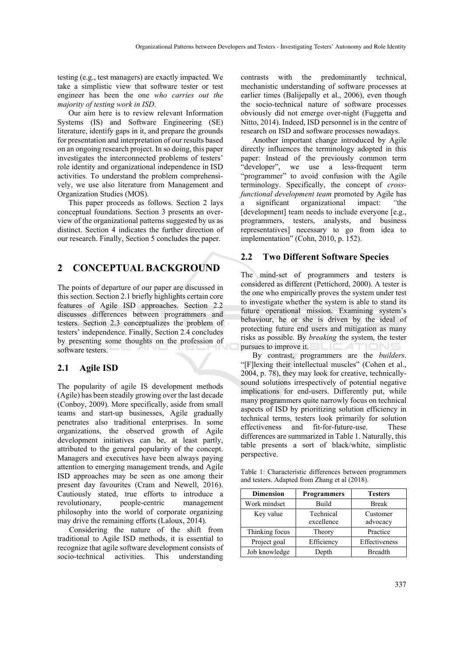testing (e.g., test managers) are exactly impacted. We take a simplistic view that software tester or test engineer has been the one *who carries out the majority of testing work in ISD*.

Our aim here is to review relevant Information Systems (IS) and Software Engineering (SE) literature, identify gaps in it, and prepare the grounds for presentation and interpretation of our results based on an ongoing research project. In so doing, this paper investigates the interconnected problems of testers' role identity and organizational independence in ISD activities. To understand the problem comprehensively, we use also literature from Management and Organization Studies (MOS).

This paper proceeds as follows. Section 2 lays conceptual foundations. Section 3 presents an overview of the organizational patterns suggested by us as distinct. Section 4 indicates the further direction of our research. Finally, Section 5 concludes the paper.

# **2 CONCEPTUAL BACKGROUND**

The points of departure of our paper are discussed in this section. Section 2.1 briefly highlights certain core features of Agile ISD approaches. Section 2.2 discusses differences between programmers and testers. Section 2.3 conceptualizes the problem of testers' independence. Finally, Section 2.4 concludes by presenting some thoughts on the profession of software testers.

## **2.1 Agile ISD**

The popularity of agile IS development methods (Agile) has been steadily growing over the last decade (Conboy, 2009). More specifically, aside from small teams and start-up businesses, Agile gradually penetrates also traditional enterprises. In some organizations, the observed growth of Agile development initiatives can be, at least partly, attributed to the general popularity of the concept. Managers and executives have been always paying attention to emerging management trends, and Agile ISD approaches may be seen as one among their present day favourites (Cram and Newell, 2016). Cautiously stated, true efforts to introduce a revolutionary, people-centric management philosophy into the world of corporate organizing may drive the remaining efforts (Laloux, 2014).

Considering the nature of the shift from traditional to Agile ISD methods, it is essential to recognize that agile software development consists of socio-technical activities. This understanding

contrasts with the predominantly technical, mechanistic understanding of software processes at earlier times (Balijepally et al., 2006), even though the socio-technical nature of software processes obviously did not emerge over-night (Fuggetta and Nitto, 2014). Indeed, ISD personnel is in the centre of research on ISD and software processes nowadays.

Another important change introduced by Agile directly influences the terminology adopted in this paper: Instead of the previously common term "developer", we use a less-frequent term "programmer" to avoid confusion with the Agile terminology. Specifically, the concept of *crossfunctional development team* promoted by Agile has a significant organizational impact: *"*the [development] team needs to include everyone [e.g.,] programmers, testers, analysts, and business representatives] necessary to go from idea to implementation" (Cohn, 2010, p. 152).

## **2.2 Two Different Software Species**

The mind-set of programmers and testers is considered as different (Pettichord, 2000). A tester is the one who empirically proves the system under test to investigate whether the system is able to stand its future operational mission. Examining system's behaviour, he or she is driven by the ideal of protecting future end users and mitigation as many risks as possible. By *breaking* the system, the tester pursues to improve it.

By contrast, programmers are the *builders*. "[F]lexing their intellectual muscles" (Cohen et al., 2004, p. 78), they may look for creative, technicallysound solutions irrespectively of potential negative implications for end-users. Differently put, while many programmers quite narrowly focus on technical aspects of ISD by prioritizing solution efficiency in technical terms, testers look primarily for solution effectiveness and fit-for-future-use. These differences are summarized in Table 1. Naturally, this table presents a sort of black/white, simplistic perspective.

Table 1: Characteristic differences between programmers and testers. Adapted from Zhang et al (2018).

| <b>Dimension</b> | <b>Programmers</b>      | <b>Testers</b>       |
|------------------|-------------------------|----------------------|
| Work mindset     | Build                   | <b>Break</b>         |
| Key value        | Technical<br>excellence | Customer<br>advocacy |
| Thinking focus   | Theory                  | Practice             |
| Project goal     | Efficiency              | Effectiveness        |
| Job knowledge    | Depth                   | <b>Breadth</b>       |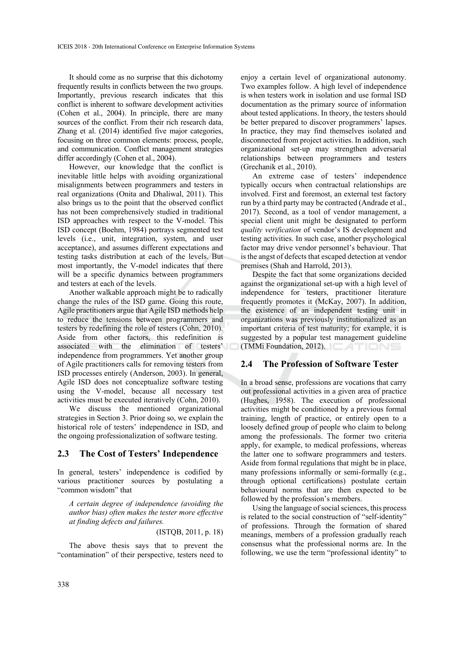It should come as no surprise that this dichotomy frequently results in conflicts between the two groups. Importantly, previous research indicates that this conflict is inherent to software development activities (Cohen et al., 2004). In principle, there are many sources of the conflict. From their rich research data, Zhang et al. (2014) identified five major categories, focusing on three common elements: process, people, and communication. Conflict management strategies differ accordingly (Cohen et al., 2004).

However, our knowledge that the conflict is inevitable little helps with avoiding organizational misalignments between programmers and testers in real organizations (Onita and Dhaliwal, 2011). This also brings us to the point that the observed conflict has not been comprehensively studied in traditional ISD approaches with respect to the V-model. This ISD concept (Boehm, 1984) portrays segmented test levels (i.e., unit, integration, system, and user acceptance), and assumes different expectations and testing tasks distribution at each of the levels. But most importantly, the V-model indicates that there will be a specific dynamics between programmers and testers at each of the levels.

Another walkable approach might be to radically change the rules of the ISD game. Going this route, Agile practitioners argue that Agile ISD methods help to reduce the tensions between programmers and testers by redefining the role of testers (Cohn, 2010). Aside from other factors, this redefinition is associated with the elimination of testers' independence from programmers. Yet another group of Agile practitioners calls for removing testers from ISD processes entirely (Anderson, 2003). In general, Agile ISD does not conceptualize software testing using the V-model, because all necessary test activities must be executed iteratively (Cohn, 2010).

We discuss the mentioned organizational strategies in Section 3. Prior doing so, we explain the historical role of testers' independence in ISD, and the ongoing professionalization of software testing.

## **2.3 The Cost of Testers' Independence**

In general, testers' independence is codified by various practitioner sources by postulating a "common wisdom" that

*A certain degree of independence (avoiding the author bias) often makes the tester more effective at finding defects and failures.* 

(ISTQB, 2011, p. 18)

The above thesis says that to prevent the "contamination" of their perspective, testers need to

enjoy a certain level of organizational autonomy. Two examples follow. A high level of independence is when testers work in isolation and use formal ISD documentation as the primary source of information about tested applications. In theory, the testers should be better prepared to discover programmers' lapses. In practice, they may find themselves isolated and disconnected from project activities. In addition, such organizational set-up may strengthen adversarial relationships between programmers and testers (Grechanik et al., 2010).

An extreme case of testers' independence typically occurs when contractual relationships are involved. First and foremost, an external test factory run by a third party may be contracted (Andrade et al., 2017). Second, as a tool of vendor management, a special client unit might be designated to perform *quality verification* of vendor's IS development and testing activities. In such case, another psychological factor may drive vendor personnel's behaviour. That is the angst of defects that escaped detection at vendor premises (Shah and Harrold, 2013).

Despite the fact that some organizations decided against the organizational set-up with a high level of independence for testers, practitioner literature frequently promotes it (McKay, 2007). In addition, the existence of an independent testing unit in organizations was previously institutionalized as an important criteria of test maturity; for example, it is suggested by a popular test management guideline (TMMi Foundation, 2012).

## **2.4 The Profession of Software Tester**

In a broad sense, professions are vocations that carry out professional activities in a given area of practice (Hughes, 1958). The execution of professional activities might be conditioned by a previous formal training, length of practice, or entirely open to a loosely defined group of people who claim to belong among the professionals. The former two criteria apply, for example, to medical professions, whereas the latter one to software programmers and testers. Aside from formal regulations that might be in place, many professions informally or semi-formally (e.g., through optional certifications) postulate certain behavioural norms that are then expected to be followed by the profession's members.

Using the language of social sciences, this process is related to the social construction of "self-identity" of professions. Through the formation of shared meanings, members of a profession gradually reach consensus what the professional norms are. In the following, we use the term "professional identity" to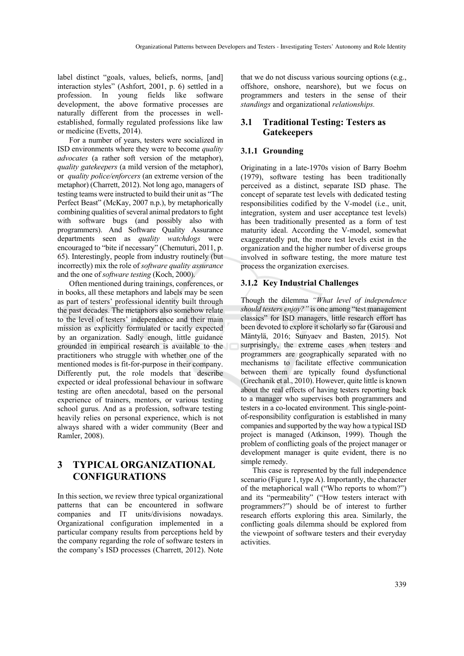label distinct "goals, values, beliefs, norms, [and] interaction styles" (Ashfort, 2001, p. 6) settled in a profession. In young fields like software development, the above formative processes are naturally different from the processes in wellestablished, formally regulated professions like law or medicine (Evetts, 2014).

For a number of years, testers were socialized in ISD environments where they were to become *quality advocates* (a rather soft version of the metaphor), *quality gatekeepers* (a mild version of the metaphor), or *quality police/enforcers* (an extreme version of the metaphor) (Charrett, 2012). Not long ago, managers of testing teams were instructed to build their unit as "The Perfect Beast" (McKay, 2007 n.p.), by metaphorically combining qualities of several animal predators to fight with software bugs (and possibly also with programmers). And Software Quality Assurance departments seen as *quality watchdogs* were encouraged to "bite if necessary" (Chemuturi, 2011, p. 65). Interestingly, people from industry routinely (but incorrectly) mix the role of *software quality assurance* and the one of *software testing* (Koch, 2000).

Often mentioned during trainings, conferences, or in books, all these metaphors and labels may be seen as part of testers' professional identity built through the past decades. The metaphors also somehow relate to the level of testers' independence and their main mission as explicitly formulated or tacitly expected by an organization. Sadly enough, little guidance grounded in empirical research is available to the practitioners who struggle with whether one of the mentioned modes is fit-for-purpose in their company. Differently put, the role models that describe expected or ideal professional behaviour in software testing are often anecdotal, based on the personal experience of trainers, mentors, or various testing school gurus. And as a profession, software testing heavily relies on personal experience, which is not always shared with a wider community (Beer and Ramler, 2008).

## **3 TYPICAL ORGANIZATIONAL CONFIGURATIONS**

In this section, we review three typical organizational patterns that can be encountered in software companies and IT units/divisions nowadays. Organizational configuration implemented in a particular company results from perceptions held by the company regarding the role of software testers in the company's ISD processes (Charrett, 2012). Note

that we do not discuss various sourcing options (e.g., offshore, onshore, nearshore), but we focus on programmers and testers in the sense of their *standings* and organizational *relationships.*

#### **3.1 Traditional Testing: Testers as Gatekeepers**

#### **3.1.1 Grounding**

Originating in a late-1970s vision of Barry Boehm (1979), software testing has been traditionally perceived as a distinct, separate ISD phase. The concept of separate test levels with dedicated testing responsibilities codified by the V-model (i.e., unit, integration, system and user acceptance test levels) has been traditionally presented as a form of test maturity ideal. According the V-model, somewhat exaggeratedly put, the more test levels exist in the organization and the higher number of diverse groups involved in software testing, the more mature test process the organization exercises.

#### **3.1.2 Key Industrial Challenges**

Though the dilemma *"What level of independence should testers enjoy?"* is one among "test management classics" for ISD managers, little research effort has been devoted to explore it scholarly so far (Garousi and Mäntylä, 2016; Sunyaev and Basten, 2015). Not surprisingly, the extreme cases when testers and programmers are geographically separated with no mechanisms to facilitate effective communication between them are typically found dysfunctional (Grechanik et al., 2010). However, quite little is known about the real effects of having testers reporting back to a manager who supervises both programmers and testers in a co-located environment. This single-pointof-responsibility configuration is established in many companies and supported by the way how a typical ISD project is managed (Atkinson, 1999). Though the problem of conflicting goals of the project manager or development manager is quite evident, there is no simple remedy.

This case is represented by the full independence scenario (Figure 1, type A). Importantly, the character of the metaphorical wall ("Who reports to whom?") and its "permeability" ("How testers interact with programmers?") should be of interest to further research efforts exploring this area. Similarly, the conflicting goals dilemma should be explored from the viewpoint of software testers and their everyday activities.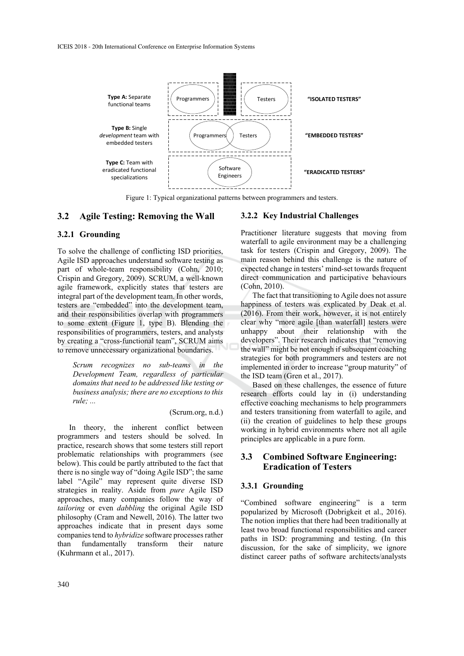

Figure 1: Typical organizational patterns between programmers and testers.

#### **3.2 Agile Testing: Removing the Wall**

#### **3.2.1 Grounding**

To solve the challenge of conflicting ISD priorities, Agile ISD approaches understand software testing as part of whole-team responsibility (Cohn, 2010; Crispin and Gregory, 2009). SCRUM, a well-known agile framework, explicitly states that testers are integral part of the development team. In other words, testers are "embedded" into the development team, and their responsibilities overlap with programmers to some extent (Figure 1, type B). Blending the responsibilities of programmers, testers, and analysts by creating a "cross-functional team", SCRUM aims to remove unnecessary organizational boundaries.

*Scrum recognizes no sub-teams in the Development Team, regardless of particular domains that need to be addressed like testing or business analysis; there are no exceptions to this rule; ...* 

#### (Scrum.org, n.d.)

In theory, the inherent conflict between programmers and testers should be solved. In practice, research shows that some testers still report problematic relationships with programmers (see below). This could be partly attributed to the fact that there is no single way of "doing Agile ISD"; the same label "Agile" may represent quite diverse ISD strategies in reality. Aside from *pure* Agile ISD approaches, many companies follow the way of *tailoring* or even *dabbling* the original Agile ISD philosophy (Cram and Newell, 2016). The latter two approaches indicate that in present days some companies tend to *hybridize* software processes rather than fundamentally transform their nature (Kuhrmann et al., 2017).

#### **3.2.2 Key Industrial Challenges**

Practitioner literature suggests that moving from waterfall to agile environment may be a challenging task for testers (Crispin and Gregory, 2009). The main reason behind this challenge is the nature of expected change in testers' mind-set towards frequent direct communication and participative behaviours (Cohn, 2010).

The fact that transitioning to Agile does not assure happiness of testers was explicated by Deak et al. (2016). From their work, however, it is not entirely clear why "more agile [than waterfall] testers were unhappy about their relationship with the developers". Their research indicates that "removing the wall" might be not enough if subsequent coaching strategies for both programmers and testers are not implemented in order to increase "group maturity" of the ISD team (Gren et al., 2017).

Based on these challenges, the essence of future research efforts could lay in (i) understanding effective coaching mechanisms to help programmers and testers transitioning from waterfall to agile, and (ii) the creation of guidelines to help these groups working in hybrid environments where not all agile principles are applicable in a pure form.

## **3.3 Combined Software Engineering: Eradication of Testers**

#### **3.3.1 Grounding**

"Combined software engineering" is a term popularized by Microsoft (Dobrigkeit et al., 2016). The notion implies that there had been traditionally at least two broad functional responsibilities and career paths in ISD: programming and testing. (In this discussion, for the sake of simplicity, we ignore distinct career paths of software architects/analysts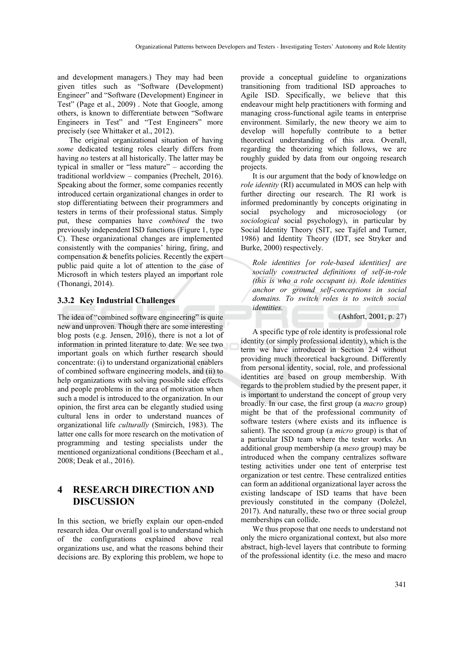and development managers.) They may had been given titles such as "Software (Development) Engineer" and "Software (Development) Engineer in Test" (Page et al., 2009) . Note that Google, among others, is known to differentiate between "Software Engineers in Test" and "Test Engineers" more precisely (see Whittaker et al., 2012).

The original organizational situation of having *some* dedicated testing roles clearly differs from having *no* testers at all historically. The latter may be typical in smaller or "less mature" – according the traditional worldview – companies (Prechelt, 2016). Speaking about the former, some companies recently introduced certain organizational changes in order to stop differentiating between their programmers and testers in terms of their professional status. Simply put, these companies have *combined* the two previously independent ISD functions (Figure 1, type C). These organizational changes are implemented consistently with the companies' hiring, firing, and compensation & benefits policies. Recently the expert public paid quite a lot of attention to the case of Microsoft in which testers played an important role (Thonangi, 2014).

#### **3.3.2 Key Industrial Challenges**

The idea of "combined software engineering" is quite new and unproven. Though there are some interesting blog posts (e.g. Jensen, 2016), there is not a lot of information in printed literature to date. We see two important goals on which further research should concentrate: (i) to understand organizational enablers of combined software engineering models, and (ii) to help organizations with solving possible side effects and people problems in the area of motivation when such a model is introduced to the organization. In our opinion, the first area can be elegantly studied using cultural lens in order to understand nuances of organizational life *culturally* (Smircich, 1983). The latter one calls for more research on the motivation of programming and testing specialists under the mentioned organizational conditions (Beecham et al., 2008; Deak et al., 2016).

## **4 RESEARCH DIRECTION AND DISCUSSION**

In this section, we briefly explain our open-ended research idea. Our overall goal is to understand which of the configurations explained above real organizations use, and what the reasons behind their decisions are. By exploring this problem, we hope to

provide a conceptual guideline to organizations transitioning from traditional ISD approaches to Agile ISD. Specifically, we believe that this endeavour might help practitioners with forming and managing cross-functional agile teams in enterprise environment. Similarly, the new theory we aim to develop will hopefully contribute to a better theoretical understanding of this area. Overall, regarding the theorizing which follows, we are roughly guided by data from our ongoing research projects.

It is our argument that the body of knowledge on *role identity* (RI) accumulated in MOS can help with further directing our research. The RI work is informed predominantly by concepts originating in social psychology and microsociology (or *sociological* social psychology), in particular by Social Identity Theory (SIT, see Tajfel and Turner, 1986) and Identity Theory (IDT, see Stryker and Burke, 2000) respectively.

*Role identities [or role-based identities] are socially constructed definitions of self-in-role (this is who a role occupant is). Role identities anchor or ground self-conceptions in social domains. To switch roles is to switch social identities.* 

(Ashfort, 2001, p. 27)

A specific type of role identity is professional role identity (or simply professional identity), which is the term we have introduced in Section 2.4 without providing much theoretical background. Differently from personal identity, social, role, and professional identities are based on group membership. With regards to the problem studied by the present paper, it is important to understand the concept of group very broadly. In our case, the first group (a *macro* group) might be that of the professional community of software testers (where exists and its influence is salient). The second group (a *micro* group) is that of a particular ISD team where the tester works. An additional group membership (a *meso* group) may be introduced when the company centralizes software testing activities under one tent of enterprise test organization or test centre. These centralized entities can form an additional organizational layer across the existing landscape of ISD teams that have been previously constituted in the company (Doležel, 2017). And naturally, these two or three social group memberships can collide.

We thus propose that one needs to understand not only the micro organizational context, but also more abstract, high-level layers that contribute to forming of the professional identity (i.e. the meso and macro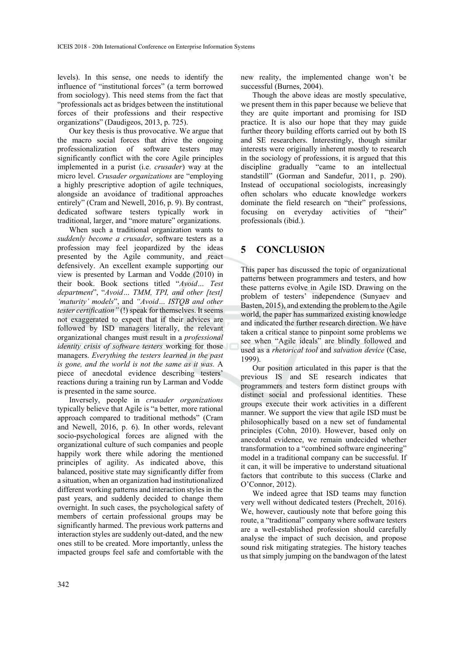levels). In this sense, one needs to identify the influence of "institutional forces" (a term borrowed from sociology). This need stems from the fact that "professionals act as bridges between the institutional forces of their professions and their respective organizations" (Daudigeos, 2013, p. 725).

Our key thesis is thus provocative. We argue that the macro social forces that drive the ongoing professionalization of software testers may significantly conflict with the core Agile principles implemented in a purist (i.e. *crusader*) way at the micro level. *Crusader organizations* are "employing a highly prescriptive adoption of agile techniques, alongside an avoidance of traditional approaches entirely" (Cram and Newell, 2016, p. 9). By contrast, dedicated software testers typically work in traditional, larger, and "more mature" organizations.

When such a traditional organization wants to *suddenly become a crusader*, software testers as a profession may feel jeopardized by the ideas presented by the Agile community, and react defensively. An excellent example supporting our view is presented by Larman and Vodde (2010) in their book. Book sections titled "*Avoid… Test department*", "*Avoid… TMM, TPI, and other [test] 'maturity' models*", and *"Avoid… ISTQB and other tester certification"* (!) speak for themselves. It seems not exaggerated to expect that if their advices are followed by ISD managers literally, the relevant organizational changes must result in a *professional identity crisis of software testers* working for those managers. *Everything the testers learned in the past is gone, and the world is not the same as it was.* A piece of anecdotal evidence describing testers' reactions during a training run by Larman and Vodde is presented in the same source.

Inversely, people in *crusader organizations* typically believe that Agile is "a better, more rational approach compared to traditional methods" (Cram and Newell, 2016, p. 6). In other words, relevant socio-psychological forces are aligned with the organizational culture of such companies and people happily work there while adoring the mentioned principles of agility. As indicated above, this balanced, positive state may significantly differ from a situation, when an organization had institutionalized different working patterns and interaction styles in the past years, and suddenly decided to change them overnight. In such cases, the psychological safety of members of certain professional groups may be significantly harmed. The previous work patterns and interaction styles are suddenly out-dated, and the new ones still to be created. More importantly, unless the impacted groups feel safe and comfortable with the

new reality, the implemented change won't be successful (Burnes, 2004).

Though the above ideas are mostly speculative, we present them in this paper because we believe that they are quite important and promising for ISD practice. It is also our hope that they may guide further theory building efforts carried out by both IS and SE researchers. Interestingly, though similar interests were originally inherent mostly to research in the sociology of professions, it is argued that this discipline gradually "came to an intellectual standstill" (Gorman and Sandefur, 2011, p. 290). Instead of occupational sociologists, increasingly often scholars who educate knowledge workers dominate the field research on "their" professions, focusing on everyday activities of "their" professionals (ibid.).

# **5 CONCLUSION**

This paper has discussed the topic of organizational patterns between programmers and testers, and how these patterns evolve in Agile ISD. Drawing on the problem of testers' independence (Sunyaev and Basten, 2015), and extending the problem to the Agile world, the paper has summarized existing knowledge and indicated the further research direction. We have taken a critical stance to pinpoint some problems we see when "Agile ideals" are blindly followed and used as a *rhetorical tool* and *salvation device* (Case, 1999).

Our position articulated in this paper is that the previous IS and SE research indicates that programmers and testers form distinct groups with distinct social and professional identities. These groups execute their work activities in a different manner. We support the view that agile ISD must be philosophically based on a new set of fundamental principles (Cohn, 2010). However, based only on anecdotal evidence, we remain undecided whether transformation to a "combined software engineering" model in a traditional company can be successful. If it can, it will be imperative to understand situational factors that contribute to this success (Clarke and O'Connor, 2012).

We indeed agree that ISD teams may function very well without dedicated testers (Prechelt, 2016). We, however, cautiously note that before going this route, a "traditional" company where software testers are a well-established profession should carefully analyse the impact of such decision, and propose sound risk mitigating strategies. The history teaches us that simply jumping on the bandwagon of the latest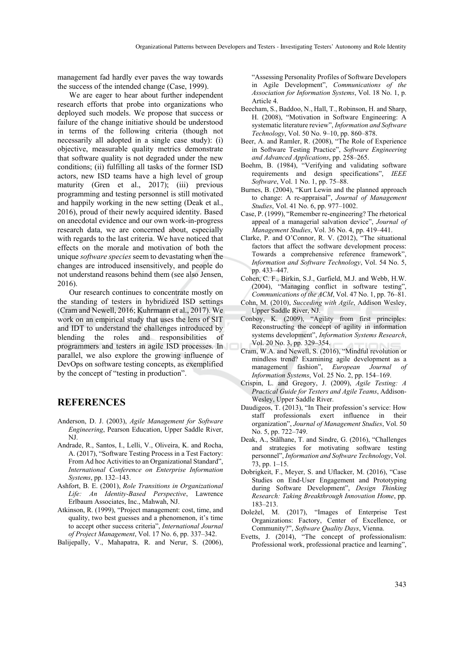management fad hardly ever paves the way towards the success of the intended change (Case, 1999).

We are eager to hear about further independent research efforts that probe into organizations who deployed such models. We propose that success or failure of the change initiative should be understood in terms of the following criteria (though not necessarily all adopted in a single case study): (i) objective, measurable quality metrics demonstrate that software quality is not degraded under the new conditions; (ii) fulfilling all tasks of the former ISD actors, new ISD teams have a high level of group maturity (Gren et al., 2017); (iii) previous programming and testing personnel is still motivated and happily working in the new setting (Deak et al., 2016), proud of their newly acquired identity. Based on anecdotal evidence and our own work-in-progress research data, we are concerned about, especially with regards to the last criteria. We have noticed that effects on the morale and motivation of both the unique *software species* seem to devastating when the changes are introduced insensitively, and people do not understand reasons behind them (see also Jensen, 2016).

Our research continues to concentrate mostly on the standing of testers in hybridized ISD settings (Cram and Newell, 2016; Kuhrmann et al., 2017). We work on an empirical study that uses the lens of SIT and IDT to understand the challenges introduced by blending the roles and responsibilities of programmers and testers in agile ISD processes. In parallel, we also explore the growing influence of DevOps on software testing concepts, as exemplified by the concept of "testing in production".

## **REFERENCES**

- Anderson, D. J. (2003), *Agile Management for Software Engineering*, Pearson Education, Upper Saddle River, NJ.
- Andrade, R., Santos, I., Lelli, V., Oliveira, K. and Rocha, A. (2017), "Software Testing Process in a Test Factory: From Ad hoc Activities to an Organizational Standard", *International Conference on Enterprise Information Systems*, pp. 132–143.
- Ashfort, B. E. (2001), *Role Transitions in Organizational Life: An Identity-Based Perspective*, Lawrence Erlbaum Associates, Inc., Mahwah, NJ.
- Atkinson, R. (1999), "Project management: cost, time, and quality, two best guesses and a phenomenon, it's time to accept other success criteria", *International Journal of Project Management*, Vol. 17 No. 6, pp. 337–342.
- Balijepally, V., Mahapatra, R. and Nerur, S. (2006),

 "Assessing Personality Profiles of Software Developers in Agile Development", *Communications of the Association for Information Systems*, Vol. 18 No. 1, p. Article 4.

- Beecham, S., Baddoo, N., Hall, T., Robinson, H. and Sharp, H. (2008), "Motivation in Software Engineering: A systematic literature review", *Information and Software Technology*, Vol. 50 No. 9–10, pp. 860–878.
- Beer, A. and Ramler, R. (2008), "The Role of Experience in Software Testing Practice", *Software Engineering and Advanced Applications*, pp. 258–265.
- Boehm, B. (1984), "Verifying and validating software requirements and design specifications", *IEEE Software*, Vol. 1 No. 1, pp. 75–88.
- Burnes, B. (2004), "Kurt Lewin and the planned approach to change: A re-appraisal", *Journal of Management Studies*, Vol. 41 No. 6, pp. 977–1002.
- Case, P. (1999), "Remember re-engineering? The rhetorical appeal of a managerial salvation device", *Journal of Management Studies*, Vol. 36 No. 4, pp. 419–441.
- Clarke, P. and O'Connor, R. V. (2012), "The situational factors that affect the software development process: Towards a comprehensive reference framework", *Information and Software Technology*, Vol. 54 No. 5, pp. 433–447.
- Cohen, C. F., Birkin, S.J., Garfield, M.J. and Webb, H.W. (2004), "Managing conflict in software testing", *Communications of the ACM*, Vol. 47 No. 1, pp. 76–81.
- Cohn, M. (2010), *Succeding with Agile*, Addison Wesley, Upper Saddle River, NJ.
- Conboy, K. (2009), "Agility from first principles: Reconstructing the concept of agility in information systems development", *Information Systems Research*, Vol. 20 No. 3, pp. 329–354.
- Cram, W.A. and Newell, S. (2016), "Mindful revolution or mindless trend? Examining agile development as a management fashion", *European Journal of Information Systems*, Vol. 25 No. 2, pp. 154–169.
- Crispin, L. and Gregory, J. (2009), *Agile Testing: A Practical Guide for Testers and Agile Teams*, Addison-Wesley, Upper Saddle River.
- Daudigeos, T. (2013), "In Their profession's service: How staff professionals exert influence in their organization", *Journal of Management Studies*, Vol. 50 No. 5, pp. 722–749.
- Deak, A., Stålhane, T. and Sindre, G. (2016), "Challenges and strategies for motivating software testing personnel", *Information and Software Technology*, Vol. 73, pp. 1–15.
- Dobrigkeit, F., Meyer, S. and Uflacker, M. (2016), "Case Studies on End-User Engagement and Prototyping during Software Development", *Design Thinking Research: Taking Breakthrough Innovation Home*, pp. 183–213.
- Doležel, M. (2017), "Images of Enterprise Test Organizations: Factory, Center of Excellence, or Community?", *Software Quality Days*, Vienna.
- Evetts, J. (2014), "The concept of professionalism: Professional work, professional practice and learning",